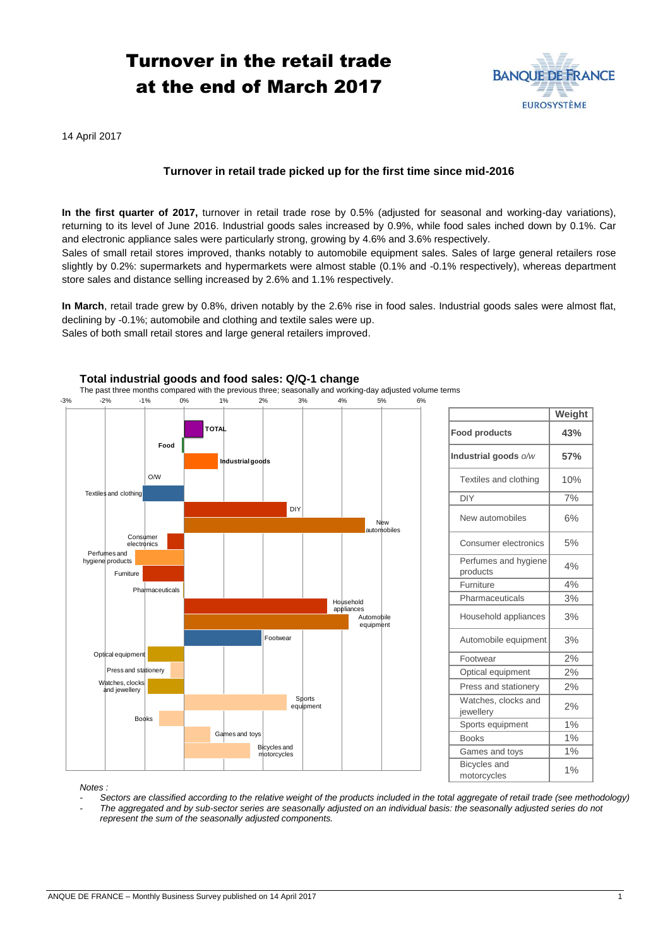# Turnover in the retail trade at the end of March 2017



14 April 2017

## **Turnover in retail trade picked up for the first time since mid-2016**

**In the first quarter of 2017,** turnover in retail trade rose by 0.5% (adjusted for seasonal and working-day variations), returning to its level of June 2016. Industrial goods sales increased by 0.9%, while food sales inched down by 0.1%. Car and electronic appliance sales were particularly strong, growing by 4.6% and 3.6% respectively.

Sales of small retail stores improved, thanks notably to automobile equipment sales. Sales of large general retailers rose slightly by 0.2%: supermarkets and hypermarkets were almost stable (0.1% and -0.1% respectively), whereas department store sales and distance selling increased by 2.6% and 1.1% respectively.

**In March**, retail trade grew by 0.8%, driven notably by the 2.6% rise in food sales. Industrial goods sales were almost flat, declining by -0.1%; automobile and clothing and textile sales were up. Sales of both small retail stores and large general retailers improved.



### **Total industrial goods and food sales: Q/Q-1 change**

*Notes :* 

*- Sectors are classified according to the relative weight of the products included in the total aggregate of retail trade (see methodology) - The aggregated and by sub-sector series are seasonally adjusted on an individual basis: the seasonally adjusted series do not represent the sum of the seasonally adjusted components.*